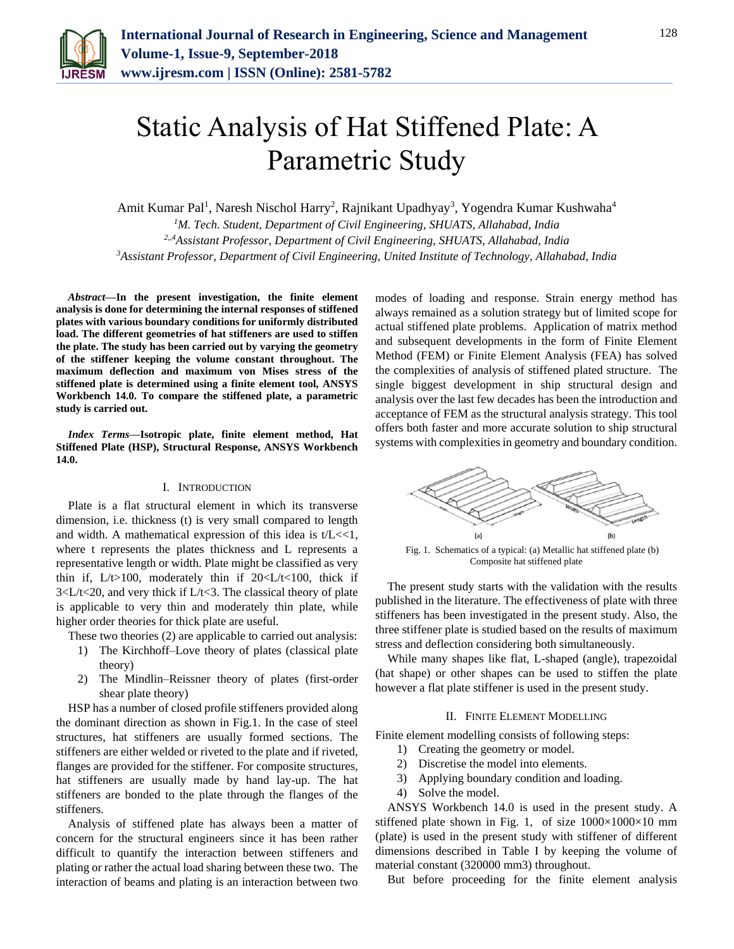

# Static Analysis of Hat Stiffened Plate: A Parametric Study

Amit Kumar Pal<sup>1</sup>, Naresh Nischol Harry<sup>2</sup>, Rajnikant Upadhyay<sup>3</sup>, Yogendra Kumar Kushwaha<sup>4</sup> *<sup>1</sup>M. Tech. Student, Department of Civil Engineering, SHUATS, Allahabad, India 2,,4Assistant Professor, Department of Civil Engineering, SHUATS, Allahabad, India 3Assistant Professor, Department of Civil Engineering, United Institute of Technology, Allahabad, India*

*Abstract***—In the present investigation, the finite element analysis is done for determining the internal responses of stiffened plates with various boundary conditions for uniformly distributed load. The different geometries of hat stiffeners are used to stiffen the plate. The study has been carried out by varying the geometry of the stiffener keeping the volume constant throughout. The maximum deflection and maximum von Mises stress of the stiffened plate is determined using a finite element tool, ANSYS Workbench 14.0. To compare the stiffened plate, a parametric study is carried out.**

*Index Terms***—Isotropic plate, finite element method, Hat Stiffened Plate (HSP), Structural Response, ANSYS Workbench 14.0.**

### I. INTRODUCTION

Plate is a flat structural element in which its transverse dimension, i.e. thickness (t) is very small compared to length and width. A mathematical expression of this idea is  $t/L < 1$ , where t represents the plates thickness and L represents a representative length or width. Plate might be classified as very thin if,  $L/t > 100$ , moderately thin if  $20 < L/t < 100$ , thick if 3<L/t<20, and very thick if L/t<3. The classical theory of plate is applicable to very thin and moderately thin plate, while higher order theories for thick plate are useful.

These two theories (2) are applicable to carried out analysis:

- 1) The Kirchhoff–Love theory of plates (classical plate theory)
- 2) The Mindlin–Reissner theory of plates (first-order shear plate theory)

HSP has a number of closed profile stiffeners provided along the dominant direction as shown in Fig.1. In the case of steel structures, hat stiffeners are usually formed sections. The stiffeners are either welded or riveted to the plate and if riveted, flanges are provided for the stiffener. For composite structures, hat stiffeners are usually made by hand lay-up. The hat stiffeners are bonded to the plate through the flanges of the stiffeners.

Analysis of stiffened plate has always been a matter of concern for the structural engineers since it has been rather difficult to quantify the interaction between stiffeners and plating or rather the actual load sharing between these two. The interaction of beams and plating is an interaction between two

modes of loading and response. Strain energy method has always remained as a solution strategy but of limited scope for actual stiffened plate problems. Application of matrix method and subsequent developments in the form of Finite Element Method (FEM) or Finite Element Analysis (FEA) has solved the complexities of analysis of stiffened plated structure. The single biggest development in ship structural design and analysis over the last few decades has been the introduction and acceptance of FEM as the structural analysis strategy. This tool offers both faster and more accurate solution to ship structural systems with complexities in geometry and boundary condition.



Fig. 1. Schematics of a typical: (a) Metallic hat stiffened plate (b) Composite hat stiffened plate

The present study starts with the validation with the results published in the literature. The effectiveness of plate with three stiffeners has been investigated in the present study. Also, the three stiffener plate is studied based on the results of maximum stress and deflection considering both simultaneously.

While many shapes like flat, L-shaped (angle), trapezoidal (hat shape) or other shapes can be used to stiffen the plate however a flat plate stiffener is used in the present study.

# II. FINITE ELEMENT MODELLING

Finite element modelling consists of following steps:

- 1) Creating the geometry or model.
- 2) Discretise the model into elements.
- 3) Applying boundary condition and loading.
- 4) Solve the model.

ANSYS Workbench 14.0 is used in the present study. A stiffened plate shown in Fig. 1, of size  $1000 \times 1000 \times 10$  mm (plate) is used in the present study with stiffener of different dimensions described in Table I by keeping the volume of material constant (320000 mm3) throughout.

But before proceeding for the finite element analysis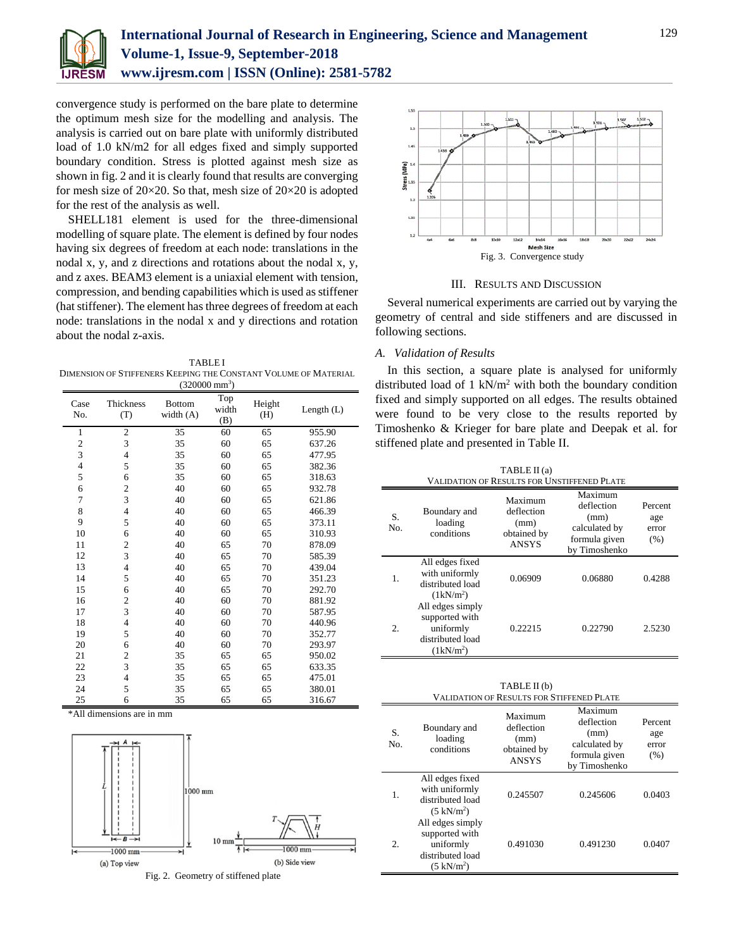

convergence study is performed on the bare plate to determine the optimum mesh size for the modelling and analysis. The analysis is carried out on bare plate with uniformly distributed load of 1.0 kN/m2 for all edges fixed and simply supported boundary condition. Stress is plotted against mesh size as shown in fig. 2 and it is clearly found that results are converging for mesh size of  $20 \times 20$ . So that, mesh size of  $20 \times 20$  is adopted for the rest of the analysis as well.

SHELL181 element is used for the three-dimensional modelling of square plate. The element is defined by four nodes having six degrees of freedom at each node: translations in the nodal x, y, and z directions and rotations about the nodal x, y, and z axes. BEAM3 element is a uniaxial element with tension, compression, and bending capabilities which is used as stiffener (hat stiffener). The element has three degrees of freedom at each node: translations in the nodal x and y directions and rotation about the nodal z-axis.

TABLE I DIMENSION OF STIFFENERS KEEPING THE CONSTANT VOLUME OF MATERIAL  $(320000 \text{ mm}^3)$ 

| Case<br>No.             | Thickness<br>(T) | <b>Bottom</b><br>width $(A)$ | Top<br>width<br>(B) | Height<br>(H) | Length $(L)$ |
|-------------------------|------------------|------------------------------|---------------------|---------------|--------------|
| $\mathbf{1}$            | $\overline{c}$   | 35                           | 60                  | 65            | 955.90       |
| $\overline{\mathbf{c}}$ | 3                | 35                           | 60                  | 65            | 637.26       |
| 3                       | $\overline{4}$   | 35                           | 60                  | 65            | 477.95       |
| $\overline{4}$          | 5                | 35                           | 60                  | 65            | 382.36       |
| 5                       | 6                | 35                           | 60                  | 65            | 318.63       |
| 6                       | $\overline{c}$   | 40                           | 60                  | 65            | 932.78       |
| 7                       | $\overline{3}$   | 40                           | 60                  | 65            | 621.86       |
| 8                       | $\overline{4}$   | 40                           | 60                  | 65            | 466.39       |
| 9                       | 5                | 40                           | 60                  | 65            | 373.11       |
| 10                      | 6                | 40                           | 60                  | 65            | 310.93       |
| 11                      | $\overline{c}$   | 40                           | 65                  | 70            | 878.09       |
| 12                      | 3                | 40                           | 65                  | 70            | 585.39       |
| 13                      | $\overline{4}$   | 40                           | 65                  | 70            | 439.04       |
| 14                      | 5                | 40                           | 65                  | 70            | 351.23       |
| 15                      | 6                | 40                           | 65                  | 70            | 292.70       |
| 16                      | $\overline{c}$   | 40                           | 60                  | 70            | 881.92       |
| 17                      | 3                | 40                           | 60                  | 70            | 587.95       |
| 18                      | $\overline{4}$   | 40                           | 60                  | 70            | 440.96       |
| 19                      | 5                | 40                           | 60                  | 70            | 352.77       |
| 20                      | 6                | 40                           | 60                  | 70            | 293.97       |
| 21                      | $\overline{c}$   | 35                           | 65                  | 65            | 950.02       |
| 22                      | 3                | 35                           | 65                  | 65            | 633.35       |
| 23                      | $\overline{4}$   | 35                           | 65                  | 65            | 475.01       |
| 24                      | 5                | 35                           | 65                  | 65            | 380.01       |
| 25                      | 6                | 35                           | 65                  | 65            | 316.67       |

\*All dimensions are in mm







#### III. RESULTS AND DISCUSSION

Several numerical experiments are carried out by varying the geometry of central and side stiffeners and are discussed in following sections.

#### *A. Validation of Results*

No.

2.

uniformly distributed load  $(5 \text{ kN/m}^2)$ 

In this section, a square plate is analysed for uniformly distributed load of 1 kN/ $m<sup>2</sup>$  with both the boundary condition fixed and simply supported on all edges. The results obtained were found to be very close to the results reported by Timoshenko & Krieger for bare plate and Deepak et al. for stiffened plate and presented in Table II.

| TABLE II (a)<br><b>VALIDATION OF RESULTS FOR UNSTIFFENED PLATE</b> |                                                                                    |                                                              |                                                                                  |                                 |  |  |  |
|--------------------------------------------------------------------|------------------------------------------------------------------------------------|--------------------------------------------------------------|----------------------------------------------------------------------------------|---------------------------------|--|--|--|
| S.<br>Vо.                                                          | Boundary and<br>loading<br>conditions                                              | Maximum<br>deflection<br>(mm)<br>obtained by<br><b>ANSYS</b> | Maximum<br>deflection<br>(mm)<br>calculated by<br>formula given<br>by Timoshenko | Percent<br>age<br>error<br>(% ) |  |  |  |
| 1.                                                                 | All edges fixed<br>with uniformly<br>distributed load<br>$(1kN/m^2)$               | 0.06909                                                      | 0.06880                                                                          | 0.4288                          |  |  |  |
| 2.                                                                 | All edges simply<br>supported with<br>uniformly<br>distributed load<br>$(1kN/m^2)$ | 0.22215                                                      | 0.22790                                                                          | 2.5230                          |  |  |  |

| TABLE II (b)<br>VALIDATION OF RESULTS FOR STIFFENED PLATE |                                                                                                                     |                                                              |                                                                                  |                                 |  |  |  |
|-----------------------------------------------------------|---------------------------------------------------------------------------------------------------------------------|--------------------------------------------------------------|----------------------------------------------------------------------------------|---------------------------------|--|--|--|
| S.<br>N <sub>O</sub>                                      | Boundary and<br>loading<br>conditions                                                                               | Maximum<br>deflection<br>(mm)<br>obtained by<br><b>ANSYS</b> | Maximum<br>deflection<br>(mm)<br>calculated by<br>formula given<br>by Timoshenko | Percent<br>age<br>error<br>(% ) |  |  |  |
| 1.                                                        | All edges fixed<br>with uniformly<br>distributed load<br>$(5 \text{ kN/m}^2)$<br>All edges simply<br>supported with | 0.245507                                                     | 0.245606                                                                         | 0.0403                          |  |  |  |

0.491030 0.491230 0.0407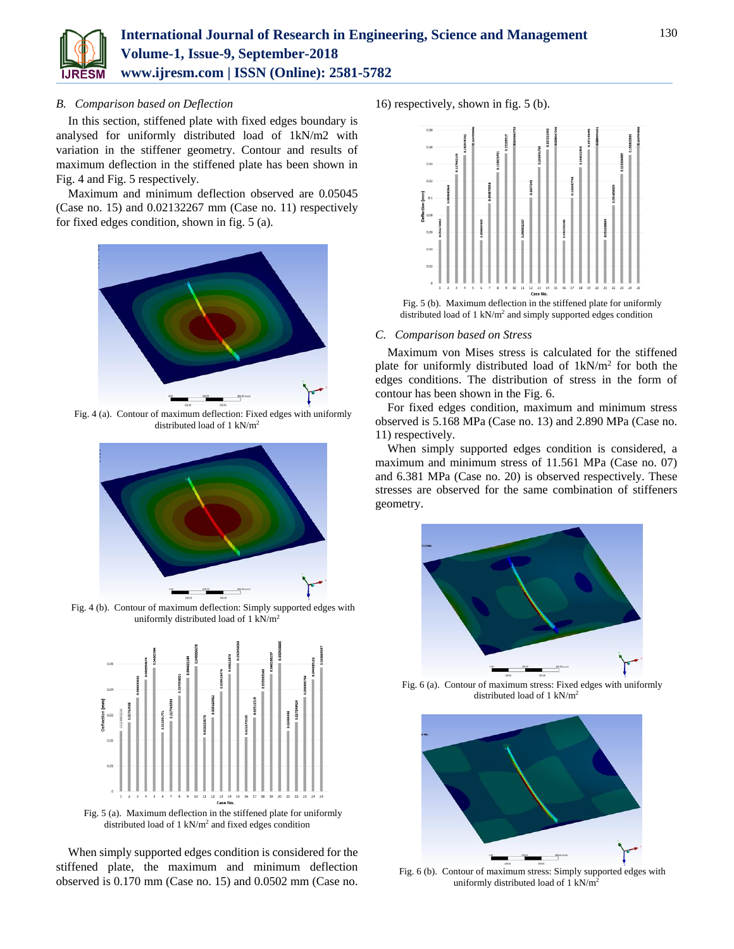

# *B. Comparison based on Deflection*

In this section, stiffened plate with fixed edges boundary is analysed for uniformly distributed load of 1kN/m2 with variation in the stiffener geometry. Contour and results of maximum deflection in the stiffened plate has been shown in Fig. 4 and Fig. 5 respectively.

Maximum and minimum deflection observed are 0.05045 (Case no. 15) and 0.02132267 mm (Case no. 11) respectively for fixed edges condition, shown in fig. 5 (a).



Fig. 4 (a). Contour of maximum deflection: Fixed edges with uniformly distributed load of 1 kN/m<sup>2</sup>



Fig. 4 (b). Contour of maximum deflection: Simply supported edges with uniformly distributed load of 1 kN/m<sup>2</sup>



Fig. 5 (a). Maximum deflection in the stiffened plate for uniformly distributed load of  $1 \text{ kN/m}^2$  and fixed edges condition

When simply supported edges condition is considered for the stiffened plate, the maximum and minimum deflection observed is 0.170 mm (Case no. 15) and 0.0502 mm (Case no.

16) respectively, shown in fig. 5 (b).



Fig. 5 (b). Maximum deflection in the stiffened plate for uniformly distributed load of 1 kN/m<sup>2</sup> and simply supported edges condition

#### *C. Comparison based on Stress*

Maximum von Mises stress is calculated for the stiffened plate for uniformly distributed load of  $1kN/m^2$  for both the edges conditions. The distribution of stress in the form of contour has been shown in the Fig. 6.

For fixed edges condition, maximum and minimum stress observed is 5.168 MPa (Case no. 13) and 2.890 MPa (Case no. 11) respectively.

When simply supported edges condition is considered, a maximum and minimum stress of 11.561 MPa (Case no. 07) and 6.381 MPa (Case no. 20) is observed respectively. These stresses are observed for the same combination of stiffeners geometry.



Fig. 6 (a). Contour of maximum stress: Fixed edges with uniformly distributed load of 1 kN/m<sup>2</sup>



Fig. 6 (b). Contour of maximum stress: Simply supported edges with uniformly distributed load of 1 kN/m<sup>2</sup>